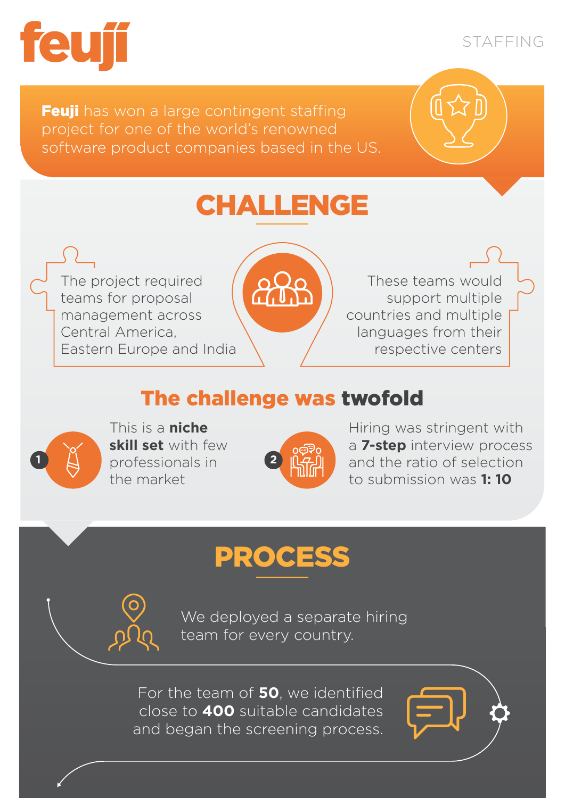

STAFFING

**Feuji** has won a large contingent staffing project for one of the world's renowned software product companies based in the US.

# CHALLENGE

The project required teams for proposal management across Central America, Eastern Europe and India



These teams would support multiple countries and multiple languages from their respective centers

### The challenge was twofold



This is a **niche skill set** with few **1 2 professionals in 2** the market



Hiring was stringent with a **7-step** interview process and the ratio of selection to submission was **1: 10**

## PROCESS

We deployed a separate hiring team for every country.

For the team of **50**, we identified close to **400** suitable candidates and began the screening process.